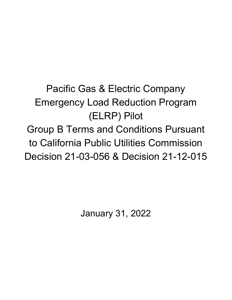Pacific Gas & Electric Company Emergency Load Reduction Program (ELRP) Pilot Group B Terms and Conditions Pursuant to California Public Utilities Commission Decision 21-03-056 & Decision 21-12-015

January 31, 2022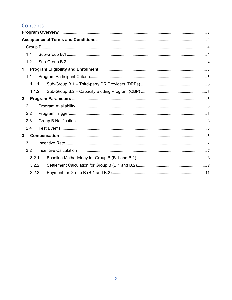# Contents

|              | 1.1   |  |  |
|--------------|-------|--|--|
|              | 1.2   |  |  |
| $\mathbf 1$  |       |  |  |
|              | 1.1   |  |  |
|              | 1.1.1 |  |  |
|              | 1.1.2 |  |  |
| $\mathbf{2}$ |       |  |  |
|              | 2.1   |  |  |
|              | 2.2   |  |  |
|              | 2.3   |  |  |
|              | 2.4   |  |  |
| $\mathbf{3}$ |       |  |  |
|              | 3.1   |  |  |
|              | 3.2   |  |  |
|              | 3.2.1 |  |  |
|              | 3.2.2 |  |  |
|              | 3.2.3 |  |  |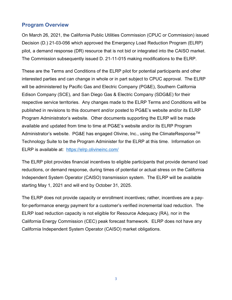## Program Overview

On March 26, 2021, the California Public Utilities Commission (CPUC or Commission) issued Decision (D.) 21-03-056 which approved the Emergency Load Reduction Program (ELRP) pilot, a demand response (DR) resource that is not bid or integrated into the CAISO market. The Commission subsequently issued D. 21-11-015 making modifications to the ELRP.

These are the Terms and Conditions of the ELRP pilot for potential participants and other interested parties and can change in whole or in part subject to CPUC approval. The ELRP will be administered by Pacific Gas and Electric Company (PG&E), Southern California Edison Company (SCE), and San Diego Gas & Electric Company (SDG&E) for their respective service territories. Any changes made to the ELRP Terms and Conditions will be published in revisions to this document and/or posted to PG&E's website and/or its ELRP Program Administrator's website. Other documents supporting the ELRP will be made available and updated from time to time at PG&E's website and/or its ELRP Program Administrator's website. PG&E has engaged Olivine, Inc., using the ClimateResponse<sup>™</sup> Technology Suite to be the Program Administer for the ELRP at this time. Information on ELRP is available at: https://elrp.olivineinc.com/

The ELRP pilot provides financial incentives to eligible participants that provide demand load reductions, or demand response, during times of potential or actual stress on the California Independent System Operator (CAISO) transmission system. The ELRP will be available starting May 1, 2021 and will end by October 31, 2025.

The ELRP does not provide capacity or enrollment incentives; rather, incentives are a payfor-performance energy payment for a customer's verified incremental load reduction. The ELRP load reduction capacity is not eligible for Resource Adequacy (RA), nor in the California Energy Commission (CEC) peak forecast framework. ELRP does not have any California Independent System Operator (CAISO) market obligations.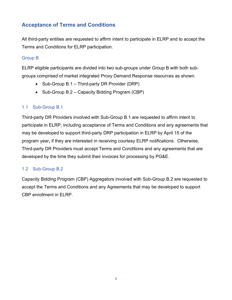# Acceptance of Terms and Conditions

All third-party entities are requested to affirm intent to participate in ELRP and to accept the Terms and Conditions for ELRP participation.

#### Group B

ELRP eligible participants are divided into two sub-groups under Group B with both subgroups comprised of market integrated Proxy Demand Response resources as shown.

- Sub-Group B.1 Third-party DR Provider (DRP)
- Sub-Group B.2 Capacity Bidding Program (CBP)

#### 1.1 Sub-Group B.1

Third-party DR Providers involved with Sub-Group B.1 are requested to affirm intent to participate in ELRP, including acceptance of Terms and Conditions and any agreements that may be developed to support third-party DRP participation in ELRP by April 15 of the program year, if they are interested in receiving courtesy ELRP notifications. Otherwise, Third-party DR Providers must accept Terms and Conditions and any agreements that are developed by the time they submit their invoices for processing by PG&E.

### 1.2 Sub-Group B.2

Capacity Bidding Program (CBP) Aggregators involved with Sub-Group B.2 are requested to accept the Terms and Conditions and any Agreements that may be developed to support CBP enrollment in ELRP.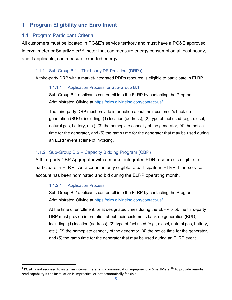## 1 Program Eligibility and Enrollment

#### 1.1 Program Participant Criteria

All customers must be located in PG&E's service territory and must have a PG&E approved interval meter or SmartMeter<sup>TM</sup> meter that can measure energy consumption at least hourly, and if applicable, can measure exported energy. $^\mathrm{1}$ 

#### 1.1.1 Sub-Group B.1 – Third-party DR Providers (DRPs)

A third-party DRP with a market-integrated PDRs resource is eligible to participate in ELRP.

#### 1.1.1.1 Application Process for Sub-Group B.1

Sub-Group B.1 applicants can enroll into the ELRP by contacting the Program Administrator, Olivine at https://elrp.olivineinc.com/contact-us/.

The third-party DRP must provide information about their customer's back-up generation (BUG), including: (1) location (address), (2) type of fuel used (e.g., diesel, natural gas, battery, etc.), (3) the nameplate capacity of the generator, (4) the notice time for the generator, and (5) the ramp time for the generator that may be used during an ELRP event at time of invoicing.

#### 1.1.2 Sub-Group B.2 – Capacity Bidding Program (CBP)

A third-party CBP Aggregator with a market-integrated PDR resource is eligible to participate in ELRP. An account is only eligible to participate in ELRP if the service account has been nominated and bid during the ELRP operating month.

#### 1.1.2.1 Application Process

Sub-Group B.2 applicants can enroll into the ELRP by contacting the Program Administrator, Olivine at https://elrp.olivineinc.com/contact-us/.

At the time of enrollment, or at designated times during the ELRP pilot, the third-party DRP must provide information about their customer's back-up generation (BUG), including: (1) location (address), (2) type of fuel used (e.g., diesel, natural gas, battery, etc.), (3) the nameplate capacity of the generator, (4) the notice time for the generator, and (5) the ramp time for the generator that may be used during an ELRP event.

 $1$  PG&E is not required to install an interval meter and communication equipment or SmartMeter<sup>TM</sup> to provide remote read capability if the installation is impractical or not economically feasible.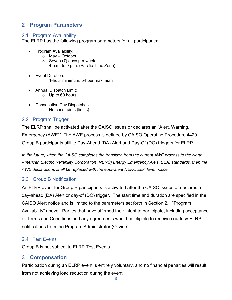# 2 Program Parameters

#### 2.1 Program Availability

The ELRP has the following program parameters for all participants:

- Program Availability:
	- o May October
	- $\circ$  Seven (7) days per week
	- $\circ$  4 p.m. to 9 p.m. (Pacific Time Zone)
- Event Duration:
	- o 1-hour minimum; 5-hour maximum
- Annual Dispatch Limit:
	- o Up to 60 hours
- Consecutive Day Dispatches
	- o No constraints (limits)

## 2.2 Program Trigger

The ELRP shall be activated after the CAISO issues or declares an "Alert, Warning, Emergency (AWE)". The AWE process is defined by CAISO Operating Procedure 4420. Group B participants utilize Day-Ahead (DA) Alert and Day-Of (DO) triggers for ELRP.

In the future, when the CAISO completes the transition from the current AWE process to the North American Electric Reliability Corporation (NERC) Energy Emergency Alert (EEA) standards, then the AWE declarations shall be replaced with the equivalent NERC EEA level notice.

### 2.3 Group B Notification

An ELRP event for Group B participants is activated after the CAISO issues or declares a day-ahead (DA) Alert or day-of (DO) trigger. The start time and duration are specified in the CAISO Alert notice and is limited to the parameters set forth in Section 2.1 "Program Availability" above. Parties that have affirmed their intent to participate, including acceptance of Terms and Conditions and any agreements would be eligible to receive courtesy ELRP notifications from the Program Administrator (Olivine).

### 2.4 Test Events

Group B is not subject to ELRP Test Events.

## 3 Compensation

Participation during an ELRP event is entirely voluntary, and no financial penalties will result from not achieving load reduction during the event.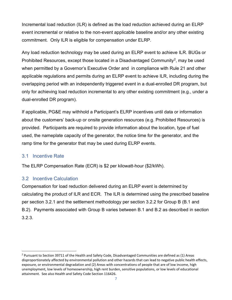Incremental load reduction (ILR) is defined as the load reduction achieved during an ELRP event incremental or relative to the non-event applicable baseline and/or any other existing commitment. Only ILR is eligible for compensation under ELRP.

Any load reduction technology may be used during an ELRP event to achieve ILR. BUGs or Prohibited Resources, except those located in a Disadvantaged Community<sup>2</sup>, may be used when permitted by a Governor's Executive Order and in compliance with Rule 21 and other applicable regulations and permits during an ELRP event to achieve ILR, including during the overlapping period with an independently triggered event in a dual-enrolled DR program, but only for achieving load reduction incremental to any other existing commitment (e.g., under a dual-enrolled DR program).

If applicable, PG&E may withhold a Participant's ELRP incentives until data or information about the customers' back-up or onsite generation resources (e.g. Prohibited Resources) is provided. Participants are required to provide information about the location, type of fuel used, the nameplate capacity of the generator, the notice time for the generator, and the ramp time for the generator that may be used during ELRP events.

#### 3.1 Incentive Rate

The ELRP Compensation Rate (ECR) is \$2 per kilowatt-hour (\$2/kWh).

## 3.2 Incentive Calculation

Compensation for load reduction delivered during an ELRP event is determined by calculating the product of ILR and ECR. The ILR is determined using the prescribed baseline per section 3.2.1 and the settlement methodology per section 3.2.2 for Group B (B.1 and B.2). Payments associated with Group B varies between B.1 and B.2 as described in section 3.2.3.

<sup>&</sup>lt;sup>2</sup> Pursuant to Section 39711 of the Health and Safety Code, Disadvantaged Communities are defined as (1) Areas disproportionately affected by environmental pollution and other hazards that can lead to negative public health effects, exposure, or environmental degradation and (2) Areas with concentrations of people that are of low income, high unemployment, low levels of homeownership, high rent burden, sensitive populations, or low levels of educational attainment. See also Health and Safety Code Section 116426.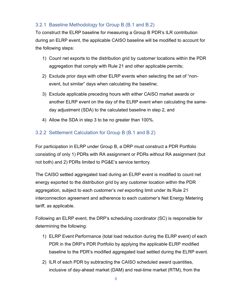## 3.2.1 Baseline Methodology for Group B (B.1 and B.2)

To construct the ELRP baseline for measuring a Group B PDR's ILR contribution during an ELRP event, the applicable CAISO baseline will be modified to account for the following steps:

- 1) Count net exports to the distribution grid by customer locations within the PDR aggregation that comply with Rule 21 and other applicable permits;
- 2) Exclude prior days with other ELRP events when selecting the set of "nonevent, but similar" days when calculating the baseline;
- 3) Exclude applicable preceding hours with either CAISO market awards or another ELRP event on the day of the ELRP event when calculating the sameday adjustment (SDA) to the calculated baseline in step 2, and
- 4) Allow the SDA in step 3 to be no greater than 100%.

### 3.2.2 Settlement Calculation for Group B (B.1 and B.2)

For participation in ELRP under Group B, a DRP must construct a PDR Portfolio consisting of only 1) PDRs with RA assignment or PDRs without RA assignment (but not both) and 2) PDRs limited to PG&E's service territory.

The CAISO settled aggregated load during an ELRP event is modified to count net energy exported to the distribution grid by any customer location within the PDR aggregation, subject to each customer's net exporting limit under its Rule 21 interconnection agreement and adherence to each customer's Net Energy Metering tariff, as applicable.

Following an ELRP event, the DRP's scheduling coordinator (SC) is responsible for determining the following:

- 1) ELRP Event Performance (total load reduction during the ELRP event) of each PDR in the DRP's PDR Portfolio by applying the applicable ELRP modified baseline to the PDR's modified aggregated load settled during the ELRP event.
- 2) ILR of each PDR by subtracting the CAISO scheduled award quantities, inclusive of day-ahead market (DAM) and real-time market (RTM), from the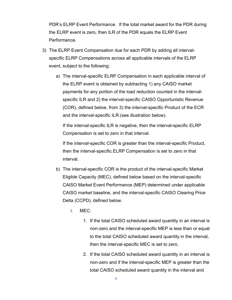PDR's ELRP Event Performance. If the total market award for the PDR during the ELRP event is zero, then ILR of the PDR equals the ELRP Event Performance.

- 3) The ELRP Event Compensation due for each PDR by adding all intervalspecific ELRP Compensations across all applicable intervals of the ELRP event, subject to the following:
	- a) The interval-specific ELRP Compensation in each applicable interval of the ELRP event is obtained by subtracting 1) any CAISO market payments for any portion of the load reduction counted in the intervalspecific ILR and 2) the interval-specific CAISO Opportunistic Revenue (COR), defined below, from 3) the interval-specific Product of the ECR and the interval-specific ILR (see illustration below).

If the interval-specific ILR is negative, then the interval-specific ELRP Compensation is set to zero in that interval.

If the interval-specific COR is greater than the interval-specific Product, then the interval-specific ELRP Compensation is set to zero in that interval.

- b) The interval-specific COR is the product of the interval-specific Market Eligible Capacity (MEC), defined below based on the interval-specific CAISO Market Event Performance (MEP) determined under applicable CAISO market baseline, and the interval-specific CAISO Clearing Price Delta (CCPD), defined below.
	- i. MEC:
		- 1. If the total CAISO scheduled award quantity in an interval is non-zero and the interval-specific MEP is less than or equal to the total CAISO scheduled award quantity in the interval, then the interval-specific MEC is set to zero.
		- 2. If the total CAISO scheduled award quantity in an interval is non-zero and if the interval-specific MEP is greater than the total CAISO scheduled award quantity in the interval and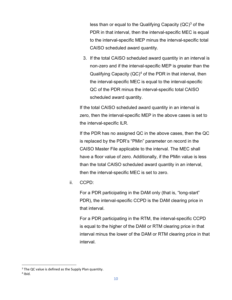less than or equal to the Qualifying Capacity (QC) $^3$  of the PDR in that interval, then the interval-specific MEC is equal to the interval-specific MEP minus the interval-specific total CAISO scheduled award quantity.

3. If the total CAISO scheduled award quantity in an interval is non-zero and if the interval-specific MEP is greater than the Qualifying Capacity (QC) $4$  of the PDR in that interval, then the interval-specific MEC is equal to the interval-specific QC of the PDR minus the interval-specific total CAISO scheduled award quantity.

If the total CAISO scheduled award quantity in an interval is zero, then the interval-specific MEP in the above cases is set to the interval-specific ILR.

If the PDR has no assigned QC in the above cases, then the QC is replaced by the PDR's "PMin" parameter on record in the CAISO Master File applicable to the interval. The MEC shall have a floor value of zero. Additionally, if the PMin value is less than the total CAISO scheduled award quantity in an interval, then the interval-specific MEC is set to zero.

ii. CCPD:

For a PDR participating in the DAM only (that is, "long-start" PDR), the interval-specific CCPD is the DAM clearing price in that interval.

For a PDR participating in the RTM, the interval-specific CCPD is equal to the higher of the DAM or RTM clearing price in that interval minus the lower of the DAM or RTM clearing price in that interval.

<sup>&</sup>lt;sup>3</sup> The QC value is defined as the Supply Plan quantity.

<sup>4</sup> Ibid.